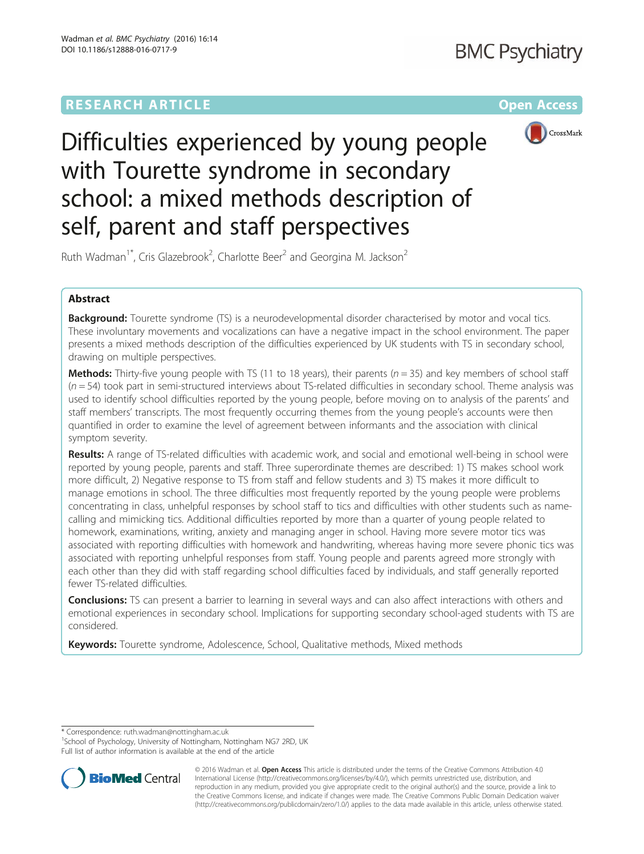

Difficulties experienced by young people with Tourette syndrome in secondary school: a mixed methods description of self, parent and staff perspectives

Ruth Wadman<sup>1\*</sup>, Cris Glazebrook<sup>2</sup>, Charlotte Beer<sup>2</sup> and Georgina M. Jackson<sup>2</sup>

# Abstract

**Background:** Tourette syndrome (TS) is a neurodevelopmental disorder characterised by motor and vocal tics. These involuntary movements and vocalizations can have a negative impact in the school environment. The paper presents a mixed methods description of the difficulties experienced by UK students with TS in secondary school, drawing on multiple perspectives.

**Methods:** Thirty-five young people with TS (11 to 18 years), their parents ( $n = 35$ ) and key members of school staff  $(n = 54)$  took part in semi-structured interviews about TS-related difficulties in secondary school. Theme analysis was used to identify school difficulties reported by the young people, before moving on to analysis of the parents' and staff members' transcripts. The most frequently occurring themes from the young people's accounts were then quantified in order to examine the level of agreement between informants and the association with clinical symptom severity.

Results: A range of TS-related difficulties with academic work, and social and emotional well-being in school were reported by young people, parents and staff. Three superordinate themes are described: 1) TS makes school work more difficult, 2) Negative response to TS from staff and fellow students and 3) TS makes it more difficult to manage emotions in school. The three difficulties most frequently reported by the young people were problems concentrating in class, unhelpful responses by school staff to tics and difficulties with other students such as namecalling and mimicking tics. Additional difficulties reported by more than a quarter of young people related to homework, examinations, writing, anxiety and managing anger in school. Having more severe motor tics was associated with reporting difficulties with homework and handwriting, whereas having more severe phonic tics was associated with reporting unhelpful responses from staff. Young people and parents agreed more strongly with each other than they did with staff regarding school difficulties faced by individuals, and staff generally reported fewer TS-related difficulties.

**Conclusions:** TS can present a barrier to learning in several ways and can also affect interactions with others and emotional experiences in secondary school. Implications for supporting secondary school-aged students with TS are considered.

Keywords: Tourette syndrome, Adolescence, School, Qualitative methods, Mixed methods

\* Correspondence: [ruth.wadman@nottingham.ac.uk](mailto:ruth.wadman@nottingham.ac.uk) <sup>1</sup>

<sup>&</sup>lt;sup>1</sup>School of Psychology, University of Nottingham, Nottingham NG7 2RD, UK Full list of author information is available at the end of the article



© 2016 Wadman et al. **Open Access** This article is distributed under the terms of the Creative Commons Attribution 4.0 International License [\(http://creativecommons.org/licenses/by/4.0/](http://creativecommons.org/licenses/by/4.0/)), which permits unrestricted use, distribution, and reproduction in any medium, provided you give appropriate credit to the original author(s) and the source, provide a link to the Creative Commons license, and indicate if changes were made. The Creative Commons Public Domain Dedication waiver [\(http://creativecommons.org/publicdomain/zero/1.0/](http://creativecommons.org/publicdomain/zero/1.0/)) applies to the data made available in this article, unless otherwise stated.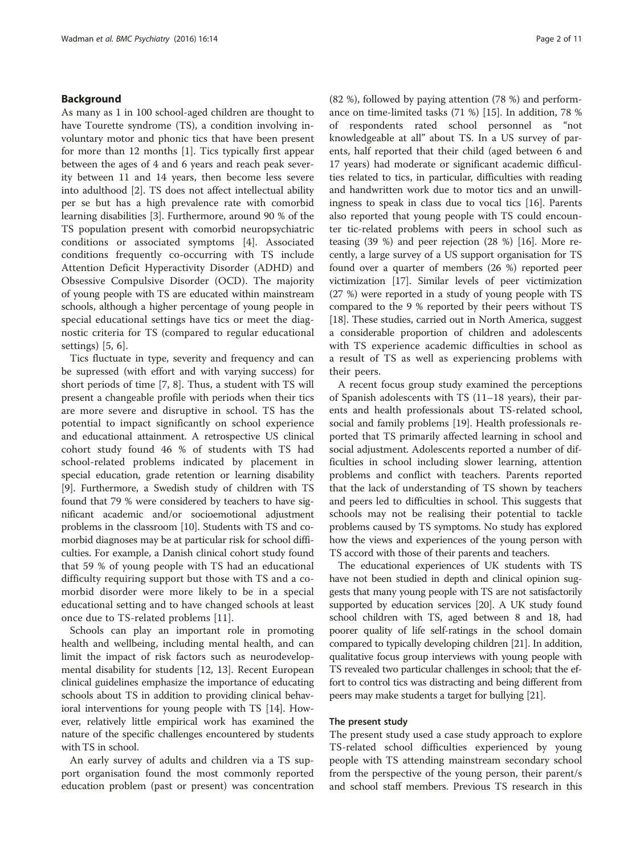## Background

As many as 1 in 100 school-aged children are thought to have Tourette syndrome (TS), a condition involving involuntary motor and phonic tics that have been present for more than 12 months [[1\]](#page-9-0). Tics typically first appear between the ages of 4 and 6 years and reach peak severity between 11 and 14 years, then become less severe into adulthood [\[2](#page-9-0)]. TS does not affect intellectual ability per se but has a high prevalence rate with comorbid learning disabilities [[3](#page-9-0)]. Furthermore, around 90 % of the TS population present with comorbid neuropsychiatric conditions or associated symptoms [[4\]](#page-9-0). Associated conditions frequently co-occurring with TS include Attention Deficit Hyperactivity Disorder (ADHD) and Obsessive Compulsive Disorder (OCD). The majority of young people with TS are educated within mainstream schools, although a higher percentage of young people in special educational settings have tics or meet the diagnostic criteria for TS (compared to regular educational settings) [[5, 6](#page-9-0)].

Tics fluctuate in type, severity and frequency and can be supressed (with effort and with varying success) for short periods of time [[7, 8\]](#page-9-0). Thus, a student with TS will present a changeable profile with periods when their tics are more severe and disruptive in school. TS has the potential to impact significantly on school experience and educational attainment. A retrospective US clinical cohort study found 46 % of students with TS had school-related problems indicated by placement in special education, grade retention or learning disability [[9\]](#page-9-0). Furthermore, a Swedish study of children with TS found that 79 % were considered by teachers to have significant academic and/or socioemotional adjustment problems in the classroom [\[10\]](#page--1-0). Students with TS and comorbid diagnoses may be at particular risk for school difficulties. For example, a Danish clinical cohort study found that 59 % of young people with TS had an educational difficulty requiring support but those with TS and a comorbid disorder were more likely to be in a special educational setting and to have changed schools at least once due to TS-related problems [[11\]](#page--1-0).

Schools can play an important role in promoting health and wellbeing, including mental health, and can limit the impact of risk factors such as neurodevelopmental disability for students [\[12](#page--1-0), [13\]](#page--1-0). Recent European clinical guidelines emphasize the importance of educating schools about TS in addition to providing clinical behavioral interventions for young people with TS [[14\]](#page--1-0). However, relatively little empirical work has examined the nature of the specific challenges encountered by students with TS in school.

An early survey of adults and children via a TS support organisation found the most commonly reported education problem (past or present) was concentration (82 %), followed by paying attention (78 %) and performance on time-limited tasks (71 %) [[15](#page--1-0)]. In addition, 78 % of respondents rated school personnel as "not knowledgeable at all" about TS. In a US survey of parents, half reported that their child (aged between 6 and 17 years) had moderate or significant academic difficulties related to tics, in particular, difficulties with reading and handwritten work due to motor tics and an unwillingness to speak in class due to vocal tics [\[16\]](#page--1-0). Parents also reported that young people with TS could encounter tic-related problems with peers in school such as teasing (39 %) and peer rejection (28 %) [[16\]](#page--1-0). More recently, a large survey of a US support organisation for TS found over a quarter of members (26 %) reported peer victimization [[17](#page--1-0)]. Similar levels of peer victimization (27 %) were reported in a study of young people with TS compared to the 9 % reported by their peers without TS [[18](#page--1-0)]. These studies, carried out in North America, suggest a considerable proportion of children and adolescents with TS experience academic difficulties in school as a result of TS as well as experiencing problems with their peers.

A recent focus group study examined the perceptions of Spanish adolescents with TS (11–18 years), their parents and health professionals about TS-related school, social and family problems [[19\]](#page--1-0). Health professionals reported that TS primarily affected learning in school and social adjustment. Adolescents reported a number of difficulties in school including slower learning, attention problems and conflict with teachers. Parents reported that the lack of understanding of TS shown by teachers and peers led to difficulties in school. This suggests that schools may not be realising their potential to tackle problems caused by TS symptoms. No study has explored how the views and experiences of the young person with TS accord with those of their parents and teachers.

The educational experiences of UK students with TS have not been studied in depth and clinical opinion suggests that many young people with TS are not satisfactorily supported by education services [[20](#page--1-0)]. A UK study found school children with TS, aged between 8 and 18, had poorer quality of life self-ratings in the school domain compared to typically developing children [[21](#page--1-0)]. In addition, qualitative focus group interviews with young people with TS revealed two particular challenges in school; that the effort to control tics was distracting and being different from peers may make students a target for bullying [\[21\]](#page--1-0).

### The present study

The present study used a case study approach to explore TS-related school difficulties experienced by young people with TS attending mainstream secondary school from the perspective of the young person, their parent/s and school staff members. Previous TS research in this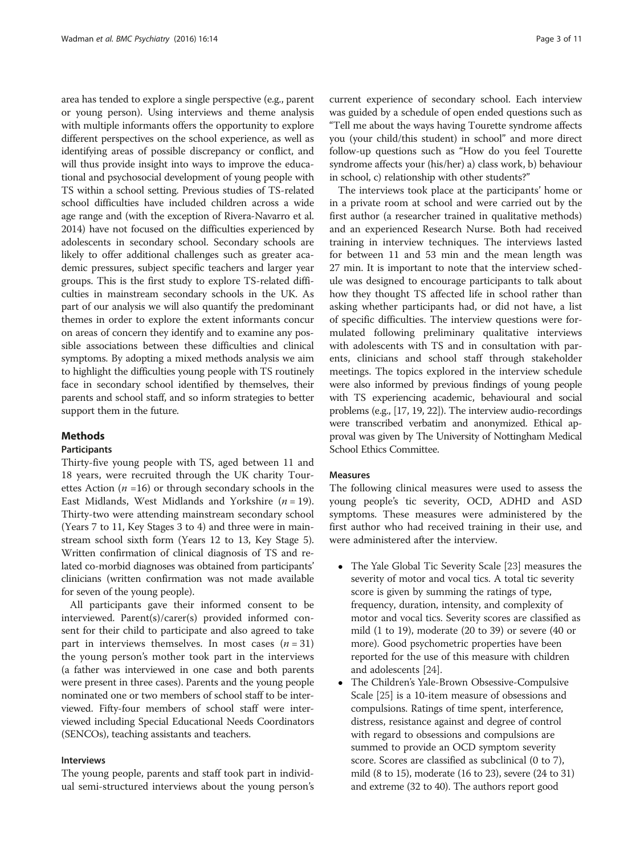area has tended to explore a single perspective (e.g., parent or young person). Using interviews and theme analysis with multiple informants offers the opportunity to explore different perspectives on the school experience, as well as identifying areas of possible discrepancy or conflict, and will thus provide insight into ways to improve the educational and psychosocial development of young people with TS within a school setting. Previous studies of TS-related school difficulties have included children across a wide age range and (with the exception of Rivera-Navarro et al. 2014) have not focused on the difficulties experienced by adolescents in secondary school. Secondary schools are likely to offer additional challenges such as greater academic pressures, subject specific teachers and larger year groups. This is the first study to explore TS-related difficulties in mainstream secondary schools in the UK. As part of our analysis we will also quantify the predominant themes in order to explore the extent informants concur on areas of concern they identify and to examine any possible associations between these difficulties and clinical symptoms. By adopting a mixed methods analysis we aim to highlight the difficulties young people with TS routinely face in secondary school identified by themselves, their parents and school staff, and so inform strategies to better support them in the future.

# Methods

# Participants

Thirty-five young people with TS, aged between 11 and 18 years, were recruited through the UK charity Tourettes Action ( $n = 16$ ) or through secondary schools in the East Midlands, West Midlands and Yorkshire ( $n = 19$ ). Thirty-two were attending mainstream secondary school (Years 7 to 11, Key Stages 3 to 4) and three were in mainstream school sixth form (Years 12 to 13, Key Stage 5). Written confirmation of clinical diagnosis of TS and related co-morbid diagnoses was obtained from participants' clinicians (written confirmation was not made available for seven of the young people).

All participants gave their informed consent to be interviewed. Parent(s)/carer(s) provided informed consent for their child to participate and also agreed to take part in interviews themselves. In most cases  $(n = 31)$ the young person's mother took part in the interviews (a father was interviewed in one case and both parents were present in three cases). Parents and the young people nominated one or two members of school staff to be interviewed. Fifty-four members of school staff were interviewed including Special Educational Needs Coordinators (SENCOs), teaching assistants and teachers.

# Interviews

The young people, parents and staff took part in individual semi-structured interviews about the young person's

current experience of secondary school. Each interview was guided by a schedule of open ended questions such as "Tell me about the ways having Tourette syndrome affects you (your child/this student) in school" and more direct follow-up questions such as "How do you feel Tourette syndrome affects your (his/her) a) class work, b) behaviour in school, c) relationship with other students?"

The interviews took place at the participants' home or in a private room at school and were carried out by the first author (a researcher trained in qualitative methods) and an experienced Research Nurse. Both had received training in interview techniques. The interviews lasted for between 11 and 53 min and the mean length was 27 min. It is important to note that the interview schedule was designed to encourage participants to talk about how they thought TS affected life in school rather than asking whether participants had, or did not have, a list of specific difficulties. The interview questions were formulated following preliminary qualitative interviews with adolescents with TS and in consultation with parents, clinicians and school staff through stakeholder meetings. The topics explored in the interview schedule were also informed by previous findings of young people with TS experiencing academic, behavioural and social problems (e.g., [\[17, 19, 22\]](#page--1-0)). The interview audio-recordings were transcribed verbatim and anonymized. Ethical approval was given by The University of Nottingham Medical School Ethics Committee.

### Measures

The following clinical measures were used to assess the young people's tic severity, OCD, ADHD and ASD symptoms. These measures were administered by the first author who had received training in their use, and were administered after the interview.

- The Yale Global Tic Severity Scale [\[23\]](#page--1-0) measures the severity of motor and vocal tics. A total tic severity score is given by summing the ratings of type, frequency, duration, intensity, and complexity of motor and vocal tics. Severity scores are classified as mild (1 to 19), moderate (20 to 39) or severe (40 or more). Good psychometric properties have been reported for the use of this measure with children and adolescents [\[24\]](#page--1-0).
- The Children's Yale-Brown Obsessive-Compulsive Scale [\[25\]](#page--1-0) is a 10-item measure of obsessions and compulsions. Ratings of time spent, interference, distress, resistance against and degree of control with regard to obsessions and compulsions are summed to provide an OCD symptom severity score. Scores are classified as subclinical (0 to 7), mild (8 to 15), moderate (16 to 23), severe (24 to 31) and extreme (32 to 40). The authors report good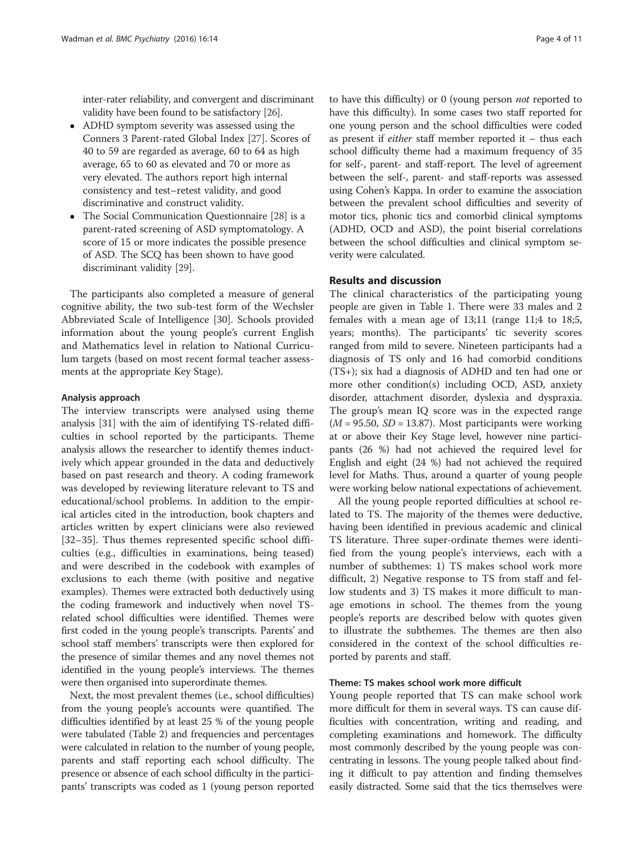inter-rater reliability, and convergent and discriminant validity have been found to be satisfactory [[26](#page--1-0)].

- ADHD symptom severity was assessed using the Conners 3 Parent-rated Global Index [\[27\]](#page--1-0). Scores of 40 to 59 are regarded as average, 60 to 64 as high average, 65 to 60 as elevated and 70 or more as very elevated. The authors report high internal consistency and test–retest validity, and good discriminative and construct validity.
- The Social Communication Questionnaire [\[28\]](#page--1-0) is a parent-rated screening of ASD symptomatology. A score of 15 or more indicates the possible presence of ASD. The SCQ has been shown to have good discriminant validity [\[29\]](#page--1-0).

The participants also completed a measure of general cognitive ability, the two sub-test form of the Wechsler Abbreviated Scale of Intelligence [[30](#page--1-0)]. Schools provided information about the young people's current English and Mathematics level in relation to National Curriculum targets (based on most recent formal teacher assessments at the appropriate Key Stage).

#### Analysis approach

The interview transcripts were analysed using theme analysis [\[31](#page--1-0)] with the aim of identifying TS-related difficulties in school reported by the participants. Theme analysis allows the researcher to identify themes inductively which appear grounded in the data and deductively based on past research and theory. A coding framework was developed by reviewing literature relevant to TS and educational/school problems. In addition to the empirical articles cited in the introduction, book chapters and articles written by expert clinicians were also reviewed [[32](#page--1-0)–[35](#page--1-0)]. Thus themes represented specific school difficulties (e.g., difficulties in examinations, being teased) and were described in the codebook with examples of exclusions to each theme (with positive and negative examples). Themes were extracted both deductively using the coding framework and inductively when novel TSrelated school difficulties were identified. Themes were first coded in the young people's transcripts. Parents' and school staff members' transcripts were then explored for the presence of similar themes and any novel themes not identified in the young people's interviews. The themes were then organised into superordinate themes.

Next, the most prevalent themes (i.e., school difficulties) from the young people's accounts were quantified. The difficulties identified by at least 25 % of the young people were tabulated (Table [2](#page-7-0)) and frequencies and percentages were calculated in relation to the number of young people, parents and staff reporting each school difficulty. The presence or absence of each school difficulty in the participants' transcripts was coded as 1 (young person reported

to have this difficulty) or 0 (young person not reported to have this difficulty). In some cases two staff reported for one young person and the school difficulties were coded as present if *either* staff member reported it  $-$  thus each school difficulty theme had a maximum frequency of 35 for self-, parent- and staff-report. The level of agreement between the self-, parent- and staff-reports was assessed using Cohen's Kappa. In order to examine the association between the prevalent school difficulties and severity of motor tics, phonic tics and comorbid clinical symptoms (ADHD, OCD and ASD), the point biserial correlations between the school difficulties and clinical symptom severity were calculated.

### Results and discussion

The clinical characteristics of the participating young people are given in Table [1](#page-4-0). There were 33 males and 2 females with a mean age of 13;11 (range 11;4 to 18;5, years; months). The participants' tic severity scores ranged from mild to severe. Nineteen participants had a diagnosis of TS only and 16 had comorbid conditions (TS+); six had a diagnosis of ADHD and ten had one or more other condition(s) including OCD, ASD, anxiety disorder, attachment disorder, dyslexia and dyspraxia. The group's mean IQ score was in the expected range  $(M = 95.50, SD = 13.87)$ . Most participants were working at or above their Key Stage level, however nine participants (26 %) had not achieved the required level for English and eight (24 %) had not achieved the required level for Maths. Thus, around a quarter of young people were working below national expectations of achievement.

All the young people reported difficulties at school related to TS. The majority of the themes were deductive, having been identified in previous academic and clinical TS literature. Three super-ordinate themes were identified from the young people's interviews, each with a number of subthemes: 1) TS makes school work more difficult, 2) Negative response to TS from staff and fellow students and 3) TS makes it more difficult to manage emotions in school. The themes from the young people's reports are described below with quotes given to illustrate the subthemes. The themes are then also considered in the context of the school difficulties reported by parents and staff.

#### Theme: TS makes school work more difficult

Young people reported that TS can make school work more difficult for them in several ways. TS can cause difficulties with concentration, writing and reading, and completing examinations and homework. The difficulty most commonly described by the young people was concentrating in lessons. The young people talked about finding it difficult to pay attention and finding themselves easily distracted. Some said that the tics themselves were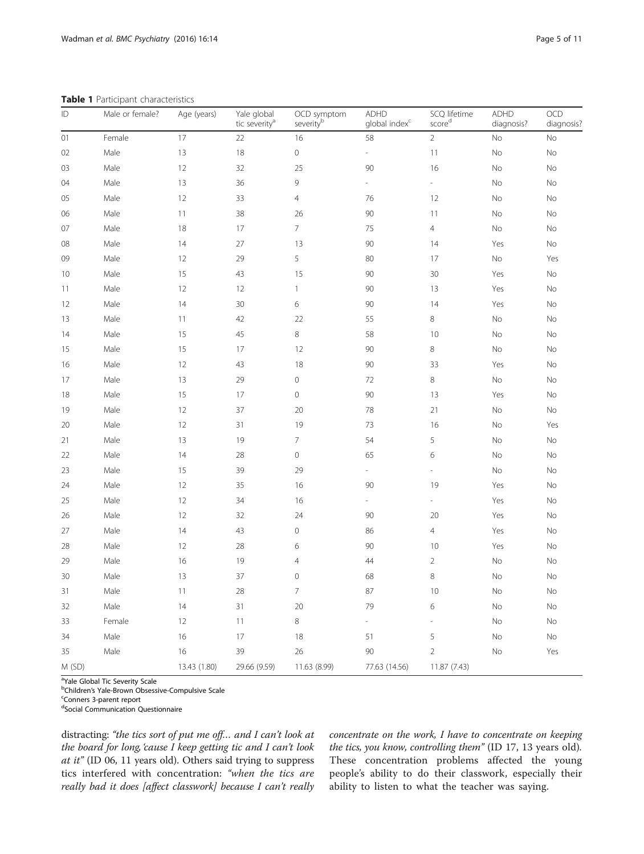<span id="page-4-0"></span>Table 1 Participant characteristics

| ID     | Male or female? | Age (years)  | Yale global<br>tic severity <sup>a</sup> | OCD symptom<br>severity <sup>b</sup> | ADHD<br>global index <sup>c</sup> | SCQ lifetime<br>score <sup>d</sup> | <b>ADHD</b><br>diagnosis? | OCD<br>diagnosis? |
|--------|-----------------|--------------|------------------------------------------|--------------------------------------|-----------------------------------|------------------------------------|---------------------------|-------------------|
| 01     | Female          | 17           | 22                                       | 16                                   | 58                                | $\overline{2}$                     | $\rm No$                  | No                |
| 02     | Male            | 13           | 18                                       | 0                                    | $\overline{\phantom{a}}$          | $11$                               | $\rm No$                  | $\rm No$          |
| 03     | Male            | 12           | 32                                       | 25                                   | 90                                | 16                                 | No                        | $\rm No$          |
| 04     | Male            | 13           | 36                                       | 9                                    | $\overline{\phantom{0}}$          | $\overline{\phantom{a}}$           | No                        | No                |
| 05     | Male            | 12           | 33                                       | 4                                    | 76                                | 12                                 | No                        | $\rm No$          |
| 06     | Male            | 11           | 38                                       | 26                                   | 90                                | 11                                 | No                        | $\rm No$          |
| $07$   | Male            | 18           | 17                                       | 7                                    | 75                                | $\overline{4}$                     | No                        | $\rm No$          |
| 08     | Male            | 14           | 27                                       | 13                                   | 90                                | 14                                 | Yes                       | $\rm No$          |
| 09     | Male            | 12           | 29                                       | 5                                    | 80                                | $17\,$                             | No                        | Yes               |
| 10     | Male            | 15           | 43                                       | 15                                   | 90                                | 30                                 | Yes                       | $\rm No$          |
| 11     | Male            | 12           | 12                                       | $\mathbf{1}$                         | 90                                | 13                                 | Yes                       | $\rm No$          |
| 12     | Male            | 14           | 30                                       | 6                                    | 90                                | 14                                 | Yes                       | $\rm No$          |
| 13     | Male            | 11           | 42                                       | 22                                   | 55                                | 8                                  | No                        | $\rm No$          |
| 14     | Male            | 15           | 45                                       | 8                                    | 58                                | 10                                 | No                        | No                |
| 15     | Male            | 15           | 17                                       | 12                                   | 90                                | 8                                  | No                        | $\rm No$          |
| 16     | Male            | 12           | 43                                       | 18                                   | 90                                | 33                                 | Yes                       | No                |
| 17     | Male            | 13           | 29                                       | 0                                    | 72                                | 8                                  | No                        | $\rm No$          |
| 18     | Male            | 15           | 17                                       | 0                                    | 90                                | 13                                 | Yes                       | $\rm No$          |
| 19     | Male            | 12           | 37                                       | 20                                   | 78                                | 21                                 | No                        | $\rm No$          |
| 20     | Male            | 12           | 31                                       | 19                                   | 73                                | 16                                 | No                        | Yes               |
| 21     | Male            | 13           | 19                                       | $\overline{7}$                       | 54                                | 5                                  | No                        | $\rm No$          |
| 22     | Male            | 14           | 28                                       | 0                                    | 65                                | 6                                  | No                        | No                |
| 23     | Male            | 15           | 39                                       | 29                                   | $\overline{\phantom{a}}$          | $\overline{\phantom{a}}$           | No                        | $\rm No$          |
| 24     | Male            | 12           | 35                                       | 16                                   | 90                                | 19                                 | Yes                       | $\rm No$          |
| 25     | Male            | 12           | 34                                       | 16                                   |                                   | ÷,                                 | Yes                       | No                |
| 26     | Male            | 12           | 32                                       | 24                                   | 90                                | 20                                 | Yes                       | No                |
| 27     | Male            | 14           | 43                                       | 0                                    | 86                                | 4                                  | Yes                       | No                |
| 28     | Male            | 12           | 28                                       | 6                                    | 90                                | 10                                 | Yes                       | No                |
| 29     | Male            | 16           | 19                                       | 4                                    | 44                                | $\overline{2}$                     | No                        | No                |
| 30     | Male            | 13           | 37                                       | $\mathbf 0$                          | 68                                | 8                                  | No                        | $\rm No$          |
| 31     | Male            | $11$         | 28                                       | 7                                    | $87\,$                            | 10                                 | No                        | No                |
| 32     | Male            | 14           | 31                                       | 20                                   | 79                                | 6                                  | No                        | No                |
| 33     | Female          | 12           | 11                                       | 8                                    | $\sim$                            |                                    | No                        | No                |
| 34     | Male            | 16           | 17                                       | 18                                   | 51                                | 5                                  | No                        | No                |
| 35     | Male            | 16           | 39                                       | 26                                   | $90\,$                            | $\overline{2}$                     | No                        | Yes               |
| M (SD) |                 | 13.43 (1.80) | 29.66 (9.59)                             | 11.63 (8.99)                         | 77.63 (14.56)                     | 11.87 (7.43)                       |                           |                   |

<sup>a</sup>Yale Global Tic Severity Scale

**bChildren's Yale-Brown Obsessive-Compulsive Scale**<br>SConners 3 parent report Conners 3-parent report

d<br>Social Communication Questionnaire

distracting: "the tics sort of put me off… and I can't look at the board for long, 'cause I keep getting tic and I can't look  $at$  it" (ID 06, 11 years old). Others said trying to suppress tics interfered with concentration: "when the tics are really bad it does [affect classwork] because I can't really concentrate on the work, I have to concentrate on keeping the tics, you know, controlling them" (ID 17, 13 years old). These concentration problems affected the young people's ability to do their classwork, especially their ability to listen to what the teacher was saying.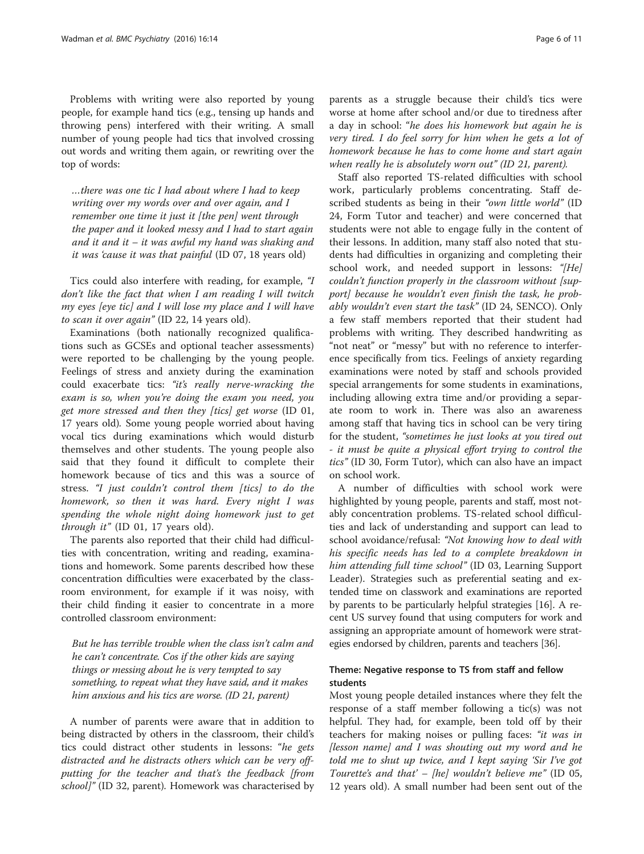Problems with writing were also reported by young people, for example hand tics (e.g., tensing up hands and throwing pens) interfered with their writing. A small number of young people had tics that involved crossing out words and writing them again, or rewriting over the top of words:

…there was one tic I had about where I had to keep writing over my words over and over again, and I remember one time it just it [the pen] went through the paper and it looked messy and I had to start again and it and it – it was awful my hand was shaking and it was 'cause it was that painful (ID 07, 18 years old)

Tics could also interfere with reading, for example, "I don't like the fact that when I am reading I will twitch my eyes [eye tic] and I will lose my place and I will have to scan it over again" (ID 22, 14 years old).

Examinations (both nationally recognized qualifications such as GCSEs and optional teacher assessments) were reported to be challenging by the young people. Feelings of stress and anxiety during the examination could exacerbate tics: "it's really nerve-wracking the exam is so, when you're doing the exam you need, you get more stressed and then they [tics] get worse (ID 01, 17 years old). Some young people worried about having vocal tics during examinations which would disturb themselves and other students. The young people also said that they found it difficult to complete their homework because of tics and this was a source of stress. "I just couldn't control them [tics] to do the homework, so then it was hard. Every night I was spending the whole night doing homework just to get  $through it" (ID 01, 17 years old).$ 

The parents also reported that their child had difficulties with concentration, writing and reading, examinations and homework. Some parents described how these concentration difficulties were exacerbated by the classroom environment, for example if it was noisy, with their child finding it easier to concentrate in a more controlled classroom environment:

But he has terrible trouble when the class isn't calm and he can't concentrate. Cos if the other kids are saying things or messing about he is very tempted to say something, to repeat what they have said, and it makes him anxious and his tics are worse. (ID 21, parent)

A number of parents were aware that in addition to being distracted by others in the classroom, their child's tics could distract other students in lessons: "he gets distracted and he distracts others which can be very offputting for the teacher and that's the feedback [from school]" (ID 32, parent). Homework was characterised by parents as a struggle because their child's tics were worse at home after school and/or due to tiredness after a day in school: "he does his homework but again he is very tired. I do feel sorry for him when he gets a lot of homework because he has to come home and start again when really he is absolutely worn out" (ID 21, parent).

Staff also reported TS-related difficulties with school work, particularly problems concentrating. Staff described students as being in their "own little world" (ID 24, Form Tutor and teacher) and were concerned that students were not able to engage fully in the content of their lessons. In addition, many staff also noted that students had difficulties in organizing and completing their school work, and needed support in lessons: "[He] couldn't function properly in the classroom without [support] because he wouldn't even finish the task, he probably wouldn't even start the task" (ID 24, SENCO). Only a few staff members reported that their student had problems with writing. They described handwriting as "not neat" or "messy" but with no reference to interference specifically from tics. Feelings of anxiety regarding examinations were noted by staff and schools provided special arrangements for some students in examinations, including allowing extra time and/or providing a separate room to work in. There was also an awareness among staff that having tics in school can be very tiring for the student, "sometimes he just looks at you tired out - it must be quite a physical effort trying to control the tics" (ID 30, Form Tutor), which can also have an impact on school work.

A number of difficulties with school work were highlighted by young people, parents and staff, most notably concentration problems. TS-related school difficulties and lack of understanding and support can lead to school avoidance/refusal: "Not knowing how to deal with his specific needs has led to a complete breakdown in him attending full time school" (ID 03, Learning Support Leader). Strategies such as preferential seating and extended time on classwork and examinations are reported by parents to be particularly helpful strategies [[16](#page--1-0)]. A recent US survey found that using computers for work and assigning an appropriate amount of homework were strategies endorsed by children, parents and teachers [[36](#page--1-0)].

# Theme: Negative response to TS from staff and fellow students

Most young people detailed instances where they felt the response of a staff member following a tic(s) was not helpful. They had, for example, been told off by their teachers for making noises or pulling faces: "it was in [lesson name] and I was shouting out my word and he told me to shut up twice, and I kept saying 'Sir I've got Tourette's and that' – [he] wouldn't believe me" (ID 05, 12 years old). A small number had been sent out of the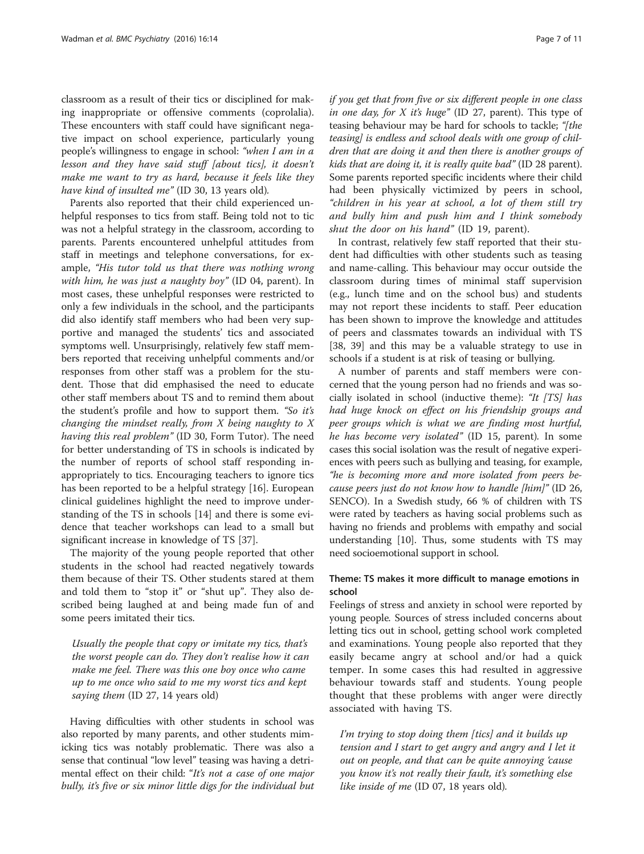classroom as a result of their tics or disciplined for making inappropriate or offensive comments (coprolalia). These encounters with staff could have significant negative impact on school experience, particularly young people's willingness to engage in school: "when I am in a lesson and they have said stuff [about tics], it doesn't make me want to try as hard, because it feels like they have kind of insulted me" (ID 30, 13 years old).

Parents also reported that their child experienced unhelpful responses to tics from staff. Being told not to tic was not a helpful strategy in the classroom, according to parents. Parents encountered unhelpful attitudes from staff in meetings and telephone conversations, for example, "His tutor told us that there was nothing wrong with him, he was just a naughty boy" (ID 04, parent). In most cases, these unhelpful responses were restricted to only a few individuals in the school, and the participants did also identify staff members who had been very supportive and managed the students' tics and associated symptoms well. Unsurprisingly, relatively few staff members reported that receiving unhelpful comments and/or responses from other staff was a problem for the student. Those that did emphasised the need to educate other staff members about TS and to remind them about the student's profile and how to support them. "So it's changing the mindset really, from X being naughty to X having this real problem" (ID 30, Form Tutor). The need for better understanding of TS in schools is indicated by the number of reports of school staff responding inappropriately to tics. Encouraging teachers to ignore tics has been reported to be a helpful strategy [\[16](#page--1-0)]. European clinical guidelines highlight the need to improve understanding of the TS in schools [\[14\]](#page--1-0) and there is some evidence that teacher workshops can lead to a small but significant increase in knowledge of TS [[37](#page--1-0)].

The majority of the young people reported that other students in the school had reacted negatively towards them because of their TS. Other students stared at them and told them to "stop it" or "shut up". They also described being laughed at and being made fun of and some peers imitated their tics.

Usually the people that copy or imitate my tics, that's the worst people can do. They don't realise how it can make me feel. There was this one boy once who came up to me once who said to me my worst tics and kept saying them (ID 27, 14 years old)

Having difficulties with other students in school was also reported by many parents, and other students mimicking tics was notably problematic. There was also a sense that continual "low level" teasing was having a detrimental effect on their child: "It's not a case of one major bully, it's five or six minor little digs for the individual but

if you get that from five or six different people in one class in one day, for X it's huge" (ID 27, parent). This type of teasing behaviour may be hard for schools to tackle; "[the teasing] is endless and school deals with one group of children that are doing it and then there is another groups of kids that are doing it, it is really quite bad" (ID 28 parent). Some parents reported specific incidents where their child had been physically victimized by peers in school, "children in his year at school, a lot of them still try and bully him and push him and I think somebody shut the door on his hand" (ID 19, parent).

In contrast, relatively few staff reported that their student had difficulties with other students such as teasing and name-calling. This behaviour may occur outside the classroom during times of minimal staff supervision (e.g., lunch time and on the school bus) and students may not report these incidents to staff. Peer education has been shown to improve the knowledge and attitudes of peers and classmates towards an individual with TS [[38, 39](#page--1-0)] and this may be a valuable strategy to use in schools if a student is at risk of teasing or bullying.

A number of parents and staff members were concerned that the young person had no friends and was socially isolated in school (inductive theme): "It [TS] has had huge knock on effect on his friendship groups and peer groups which is what we are finding most hurtful, he has become very isolated" (ID 15, parent). In some cases this social isolation was the result of negative experiences with peers such as bullying and teasing, for example, "he is becoming more and more isolated from peers because peers just do not know how to handle [him]" (ID 26, SENCO). In a Swedish study, 66 % of children with TS were rated by teachers as having social problems such as having no friends and problems with empathy and social understanding [\[10](#page--1-0)]. Thus, some students with TS may need socioemotional support in school.

# Theme: TS makes it more difficult to manage emotions in school

Feelings of stress and anxiety in school were reported by young people. Sources of stress included concerns about letting tics out in school, getting school work completed and examinations. Young people also reported that they easily became angry at school and/or had a quick temper. In some cases this had resulted in aggressive behaviour towards staff and students. Young people thought that these problems with anger were directly associated with having TS.

I'm trying to stop doing them [tics] and it builds up tension and I start to get angry and angry and I let it out on people, and that can be quite annoying 'cause you know it's not really their fault, it's something else like inside of me (ID 07, 18 years old).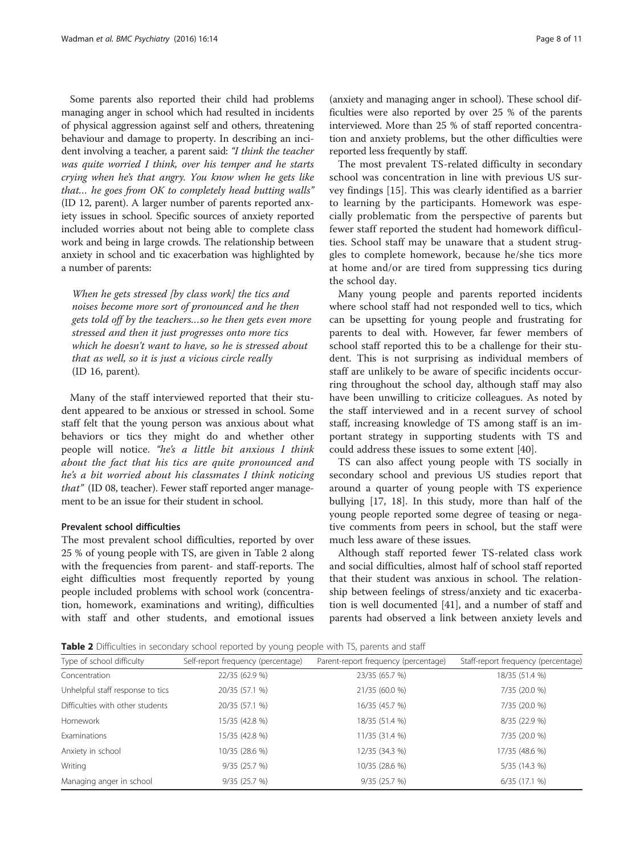<span id="page-7-0"></span>Some parents also reported their child had problems managing anger in school which had resulted in incidents of physical aggression against self and others, threatening behaviour and damage to property. In describing an incident involving a teacher, a parent said: "I think the teacher was quite worried I think, over his temper and he starts crying when he's that angry. You know when he gets like that… he goes from OK to completely head butting walls" (ID 12, parent). A larger number of parents reported anxiety issues in school. Specific sources of anxiety reported included worries about not being able to complete class work and being in large crowds. The relationship between anxiety in school and tic exacerbation was highlighted by a number of parents:

When he gets stressed [by class work] the tics and noises become more sort of pronounced and he then gets told off by the teachers…so he then gets even more stressed and then it just progresses onto more tics which he doesn't want to have, so he is stressed about that as well, so it is just a vicious circle really (ID 16, parent).

Many of the staff interviewed reported that their student appeared to be anxious or stressed in school. Some staff felt that the young person was anxious about what behaviors or tics they might do and whether other people will notice. "he's a little bit anxious I think about the fact that his tics are quite pronounced and he's a bit worried about his classmates I think noticing that" (ID 08, teacher). Fewer staff reported anger management to be an issue for their student in school.

### Prevalent school difficulties

The most prevalent school difficulties, reported by over 25 % of young people with TS, are given in Table 2 along with the frequencies from parent- and staff-reports. The eight difficulties most frequently reported by young people included problems with school work (concentration, homework, examinations and writing), difficulties with staff and other students, and emotional issues

(anxiety and managing anger in school). These school difficulties were also reported by over 25 % of the parents interviewed. More than 25 % of staff reported concentration and anxiety problems, but the other difficulties were reported less frequently by staff.

The most prevalent TS-related difficulty in secondary school was concentration in line with previous US survey findings [[15\]](#page--1-0). This was clearly identified as a barrier to learning by the participants. Homework was especially problematic from the perspective of parents but fewer staff reported the student had homework difficulties. School staff may be unaware that a student struggles to complete homework, because he/she tics more at home and/or are tired from suppressing tics during the school day.

Many young people and parents reported incidents where school staff had not responded well to tics, which can be upsetting for young people and frustrating for parents to deal with. However, far fewer members of school staff reported this to be a challenge for their student. This is not surprising as individual members of staff are unlikely to be aware of specific incidents occurring throughout the school day, although staff may also have been unwilling to criticize colleagues. As noted by the staff interviewed and in a recent survey of school staff, increasing knowledge of TS among staff is an important strategy in supporting students with TS and could address these issues to some extent [\[40](#page--1-0)].

TS can also affect young people with TS socially in secondary school and previous US studies report that around a quarter of young people with TS experience bullying [\[17](#page--1-0), [18\]](#page--1-0). In this study, more than half of the young people reported some degree of teasing or negative comments from peers in school, but the staff were much less aware of these issues.

Although staff reported fewer TS-related class work and social difficulties, almost half of school staff reported that their student was anxious in school. The relationship between feelings of stress/anxiety and tic exacerbation is well documented [\[41](#page--1-0)], and a number of staff and parents had observed a link between anxiety levels and

Table 2 Difficulties in secondary school reported by young people with TS, parents and staff

| Type of school difficulty        | Self-report frequency (percentage) | Parent-report frequency (percentage) | Staff-report frequency (percentage) |
|----------------------------------|------------------------------------|--------------------------------------|-------------------------------------|
| Concentration                    | 22/35 (62.9 %)                     | 23/35 (65.7 %)                       | 18/35 (51.4 %)                      |
| Unhelpful staff response to tics | 20/35 (57.1 %)                     | 21/35 (60.0 %)                       | 7/35 (20.0 %)                       |
| Difficulties with other students | 20/35 (57.1 %)                     | 16/35 (45.7 %)                       | 7/35 (20.0 %)                       |
| Homework                         | 15/35 (42.8 %)                     | 18/35 (51.4 %)                       | 8/35 (22.9 %)                       |
| Examinations                     | 15/35 (42.8 %)                     | 11/35 (31.4 %)                       | 7/35 (20.0 %)                       |
| Anxiety in school                | 10/35 (28.6 %)                     | 12/35 (34.3 %)                       | 17/35 (48.6 %)                      |
| Writing                          | 9/35(25.7%)                        | 10/35 (28.6 %)                       | 5/35 (14.3 %)                       |
| Managing anger in school         | 9/35(25.7%)                        | 9/35(25.7%)                          | $6/35$ (17.1 %)                     |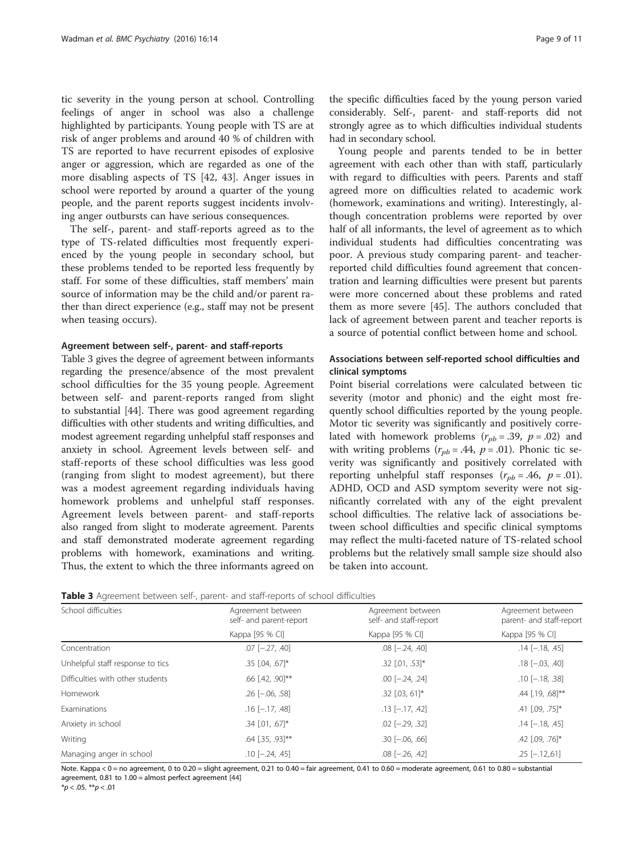tic severity in the young person at school. Controlling feelings of anger in school was also a challenge highlighted by participants. Young people with TS are at risk of anger problems and around 40 % of children with TS are reported to have recurrent episodes of explosive anger or aggression, which are regarded as one of the more disabling aspects of TS [[42, 43](#page--1-0)]. Anger issues in school were reported by around a quarter of the young people, and the parent reports suggest incidents involving anger outbursts can have serious consequences.

The self-, parent- and staff-reports agreed as to the type of TS-related difficulties most frequently experienced by the young people in secondary school, but these problems tended to be reported less frequently by staff. For some of these difficulties, staff members' main source of information may be the child and/or parent rather than direct experience (e.g., staff may not be present when teasing occurs).

### Agreement between self-, parent- and staff-reports

Table 3 gives the degree of agreement between informants regarding the presence/absence of the most prevalent school difficulties for the 35 young people. Agreement between self- and parent-reports ranged from slight to substantial [\[44\]](#page--1-0). There was good agreement regarding difficulties with other students and writing difficulties, and modest agreement regarding unhelpful staff responses and anxiety in school. Agreement levels between self- and staff-reports of these school difficulties was less good (ranging from slight to modest agreement), but there was a modest agreement regarding individuals having homework problems and unhelpful staff responses. Agreement levels between parent- and staff-reports also ranged from slight to moderate agreement. Parents and staff demonstrated moderate agreement regarding problems with homework, examinations and writing. Thus, the extent to which the three informants agreed on

the specific difficulties faced by the young person varied considerably. Self-, parent- and staff-reports did not strongly agree as to which difficulties individual students had in secondary school.

Young people and parents tended to be in better agreement with each other than with staff, particularly with regard to difficulties with peers. Parents and staff agreed more on difficulties related to academic work (homework, examinations and writing). Interestingly, although concentration problems were reported by over half of all informants, the level of agreement as to which individual students had difficulties concentrating was poor. A previous study comparing parent- and teacherreported child difficulties found agreement that concentration and learning difficulties were present but parents were more concerned about these problems and rated them as more severe [\[45\]](#page--1-0). The authors concluded that lack of agreement between parent and teacher reports is a source of potential conflict between home and school.

# Associations between self-reported school difficulties and clinical symptoms

Point biserial correlations were calculated between tic severity (motor and phonic) and the eight most frequently school difficulties reported by the young people. Motor tic severity was significantly and positively correlated with homework problems  $(r_{pb} = .39, p = .02)$  and with writing problems ( $r_{pb} = .44$ ,  $p = .01$ ). Phonic tic severity was significantly and positively correlated with reporting unhelpful staff responses  $(r_{pb} = .46, p = .01)$ . ADHD, OCD and ASD symptom severity were not significantly correlated with any of the eight prevalent school difficulties. The relative lack of associations between school difficulties and specific clinical symptoms may reflect the multi-faceted nature of TS-related school problems but the relatively small sample size should also be taken into account.

Table 3 Agreement between self-, parent- and staff-reports of school difficulties

| <b>TWATE 3</b> Agreement between Jen <sub>1</sub> parent and Jun reports or senoor annealties |                                              |                                             |                                               |  |  |  |  |  |
|-----------------------------------------------------------------------------------------------|----------------------------------------------|---------------------------------------------|-----------------------------------------------|--|--|--|--|--|
| School difficulties                                                                           | Agreement between<br>self- and parent-report | Agreement between<br>self- and staff-report | Agreement between<br>parent- and staff-report |  |  |  |  |  |
|                                                                                               | Kappa [95 % CI]                              | Kappa [95 % CI]                             | Kappa [95 % CI]                               |  |  |  |  |  |
| Concentration                                                                                 | $.07$ $[-.27, .40]$                          | $.08$ $[-.24, .40]$                         | $.14$ [-.18, .45]                             |  |  |  |  |  |
| Unhelpful staff response to tics                                                              | $.35$ $[.04, .67]$ <sup>*</sup>              | $.32$ $[.01, .53]$ *                        | $.18[-.03, .40]$                              |  |  |  |  |  |
| Difficulties with other students                                                              | $.66$ $[.42, .90]$ **                        | $.00$ $[-.24, .24]$                         | $.10$ -.18, .38                               |  |  |  |  |  |
| Homework                                                                                      | $.26$ $[-.06, .58]$                          | $.32$ $[.03, 61]$ *                         | .44 [.19, .68]**                              |  |  |  |  |  |
| Examinations                                                                                  | $.16$ [ $-.17, .48$ ]                        | $.13$ [-.17, .42]                           | $.41$ $[.09, .75]$ *                          |  |  |  |  |  |
| Anxiety in school                                                                             | $.34$ $[.01, .67]$ <sup>*</sup>              | $.02$ [ $-.29, .32$ ]                       | $.14$ [-.18, .45]                             |  |  |  |  |  |
| Writing                                                                                       | $.64$ $[.35, .93]$ **                        | $.30$ $[-.06, .66]$                         | $.42$ $[.09, .76]$ <sup>*</sup>               |  |  |  |  |  |
| Managing anger in school                                                                      | $.10$ $[-.24, .45]$                          | $.08$ $[-.26, .42]$                         | $.25$ [-.12,.61]                              |  |  |  |  |  |

Note. Kappa < 0 = no agreement, 0 to 0.20 = slight agreement, 0.21 to 0.40 = fair agreement, 0.41 to 0.60 = moderate agreement, 0.61 to 0.80 = substantial agreement, 0.81 to 1.00 = almost perfect agreement [\[44](#page--1-0)]

\*p < .05. \*\*p < .01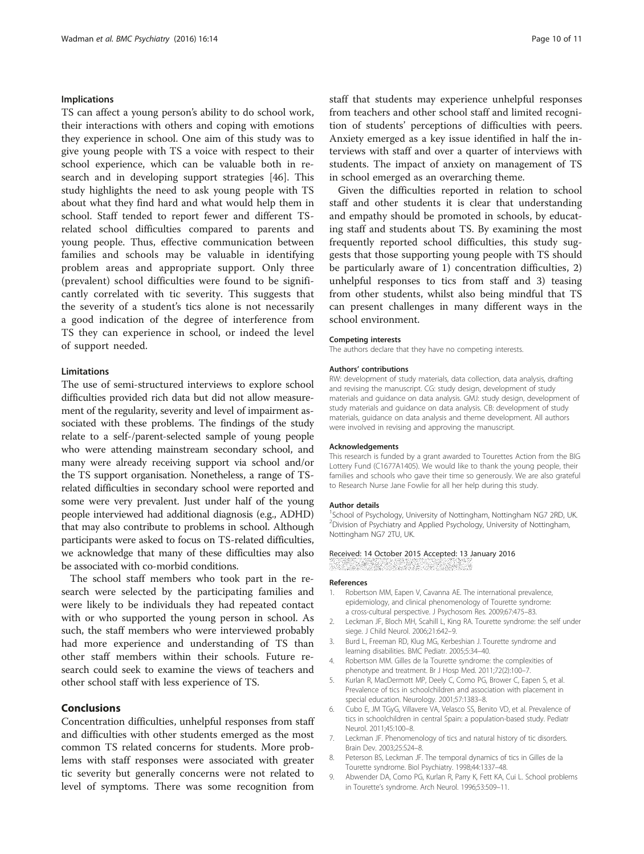## <span id="page-9-0"></span>Implications

TS can affect a young person's ability to do school work, their interactions with others and coping with emotions they experience in school. One aim of this study was to give young people with TS a voice with respect to their school experience, which can be valuable both in research and in developing support strategies [\[46](#page--1-0)]. This study highlights the need to ask young people with TS about what they find hard and what would help them in school. Staff tended to report fewer and different TSrelated school difficulties compared to parents and young people. Thus, effective communication between families and schools may be valuable in identifying problem areas and appropriate support. Only three (prevalent) school difficulties were found to be significantly correlated with tic severity. This suggests that the severity of a student's tics alone is not necessarily a good indication of the degree of interference from TS they can experience in school, or indeed the level of support needed.

### Limitations

The use of semi-structured interviews to explore school difficulties provided rich data but did not allow measurement of the regularity, severity and level of impairment associated with these problems. The findings of the study relate to a self-/parent-selected sample of young people who were attending mainstream secondary school, and many were already receiving support via school and/or the TS support organisation. Nonetheless, a range of TSrelated difficulties in secondary school were reported and some were very prevalent. Just under half of the young people interviewed had additional diagnosis (e.g., ADHD) that may also contribute to problems in school. Although participants were asked to focus on TS-related difficulties, we acknowledge that many of these difficulties may also be associated with co-morbid conditions.

The school staff members who took part in the research were selected by the participating families and were likely to be individuals they had repeated contact with or who supported the young person in school. As such, the staff members who were interviewed probably had more experience and understanding of TS than other staff members within their schools. Future research could seek to examine the views of teachers and other school staff with less experience of TS.

## Conclusions

Concentration difficulties, unhelpful responses from staff and difficulties with other students emerged as the most common TS related concerns for students. More problems with staff responses were associated with greater tic severity but generally concerns were not related to level of symptoms. There was some recognition from staff that students may experience unhelpful responses from teachers and other school staff and limited recognition of students' perceptions of difficulties with peers. Anxiety emerged as a key issue identified in half the interviews with staff and over a quarter of interviews with students. The impact of anxiety on management of TS in school emerged as an overarching theme.

Given the difficulties reported in relation to school staff and other students it is clear that understanding and empathy should be promoted in schools, by educating staff and students about TS. By examining the most frequently reported school difficulties, this study suggests that those supporting young people with TS should be particularly aware of 1) concentration difficulties, 2) unhelpful responses to tics from staff and 3) teasing from other students, whilst also being mindful that TS can present challenges in many different ways in the school environment.

#### Competing interests

The authors declare that they have no competing interests.

#### Authors' contributions

RW: development of study materials, data collection, data analysis, drafting and revising the manuscript. CG: study design, development of study materials and guidance on data analysis. GMJ: study design, development of study materials and guidance on data analysis. CB: development of study materials, guidance on data analysis and theme development. All authors were involved in revising and approving the manuscript.

#### Acknowledgements

This research is funded by a grant awarded to Tourettes Action from the BIG Lottery Fund (C1677A1405). We would like to thank the young people, their families and schools who gave their time so generously. We are also grateful to Research Nurse Jane Fowlie for all her help during this study.

#### Author details

<sup>1</sup>School of Psychology, University of Nottingham, Nottingham NG7 2RD, UK <sup>2</sup> Division of Psychiatry and Applied Psychology, University of Nottingham, Nottingham NG7 2TU, UK.

#### Received: 14 October 2015 Accepted: 13 January 2016

#### References

- 1. Robertson MM, Eapen V, Cavanna AE. The international prevalence, epidemiology, and clinical phenomenology of Tourette syndrome: a cross-cultural perspective. J Psychosom Res. 2009;67:475–83.
- 2. Leckman JF, Bloch MH, Scahill L, King RA. Tourette syndrome: the self under siege. J Child Neurol. 2006;21:642–9.
- 3. Burd L, Freeman RD, Klug MG, Kerbeshian J. Tourette syndrome and learning disabilities. BMC Pediatr. 2005;5:34–40.
- 4. Robertson MM. Gilles de la Tourette syndrome: the complexities of phenotype and treatment. Br J Hosp Med. 2011;72(2):100–7.
- 5. Kurlan R, MacDermott MP, Deely C, Como PG, Brower C, Eapen S, et al. Prevalence of tics in schoolchildren and association with placement in special education. Neurology. 2001;57:1383–8.
- 6. Cubo E, JM TGyG, Villavere VA, Velasco SS, Benito VD, et al. Prevalence of tics in schoolchildren in central Spain: a population-based study. Pediatr Neurol. 2011;45:100–8.
- 7. Leckman JF. Phenomenology of tics and natural history of tic disorders. Brain Dev. 2003;25:S24–8.
- 8. Peterson BS, Leckman JF. The temporal dynamics of tics in Gilles de la Tourette syndrome. Biol Psychiatry. 1998;44:1337–48.
- 9. Abwender DA, Como PG, Kurlan R, Parry K, Fett KA, Cui L. School problems in Tourette's syndrome. Arch Neurol. 1996;53:509–11.